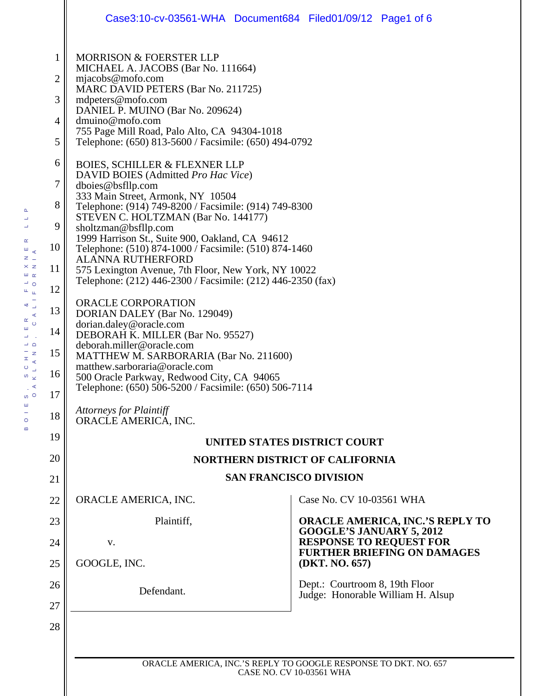|                                                 | Case3:10-cv-03561-WHA Document684 Filed01/09/12 Page1 of 6                                                                                                                                                                                                                                                                                                                                                                                                                                                                                                                                                                                                                                                                                                                                                                                                                                                                                                                                                                                                                                                                                                                                                                                                 |  |                                 |                                        |
|-------------------------------------------------|------------------------------------------------------------------------------------------------------------------------------------------------------------------------------------------------------------------------------------------------------------------------------------------------------------------------------------------------------------------------------------------------------------------------------------------------------------------------------------------------------------------------------------------------------------------------------------------------------------------------------------------------------------------------------------------------------------------------------------------------------------------------------------------------------------------------------------------------------------------------------------------------------------------------------------------------------------------------------------------------------------------------------------------------------------------------------------------------------------------------------------------------------------------------------------------------------------------------------------------------------------|--|---------------------------------|----------------------------------------|
| $\mathbf{1}$<br>2<br>3<br>4<br>5<br>6<br>7<br>8 | <b>MORRISON &amp; FOERSTER LLP</b><br>MICHAEL A. JACOBS (Bar No. 111664)<br>mjacobs@mofo.com<br>MARC DAVID PETERS (Bar No. 211725)<br>mdpeters@mofo.com<br>DANIEL P. MUINO (Bar No. 209624)<br>dmuino@mofo.com<br>755 Page Mill Road, Palo Alto, CA 94304-1018<br>Telephone: (650) 813-5600 / Facsimile: (650) 494-0792<br><b>BOIES, SCHILLER &amp; FLEXNER LLP</b><br>DAVID BOIES (Admitted Pro Hac Vice)<br>dboies@bsfllp.com<br>333 Main Street, Armonk, NY 10504<br>Telephone: (914) 749-8200 / Facsimile: (914) 749-8300<br>STEVEN C. HOLTZMAN (Bar No. 144177)<br>sholtzman@bsfllp.com<br>1999 Harrison St., Suite 900, Oakland, CA 94612<br>Telephone: (510) 874-1000 / Facsimile: (510) 874-1460<br><b>ALANNA RUTHERFORD</b><br>575 Lexington Avenue, 7th Floor, New York, NY 10022<br>Telephone: (212) 446-2300 / Facsimile: (212) 446-2350 (fax)<br><b>ORACLE CORPORATION</b><br>DORIAN DALEY (Bar No. 129049)<br>dorian.daley@oracle.com<br>DEBORAH K. MILLER (Bar No. 95527)<br>deborah.miller@oracle.com<br>MATTHEW M. SARBORARIA (Bar No. 211600)<br>matthew.sarboraria@oracle.com<br>500 Oracle Parkway, Redwood City, CA 94065<br>Telephone: (650) 506-5200 / Facsimile: (650) 506-7114<br>Attorneys for Plaintiff<br>ORACLE AMERICA, INC. |  |                                 |                                        |
| 9<br>10<br>11<br>12                             |                                                                                                                                                                                                                                                                                                                                                                                                                                                                                                                                                                                                                                                                                                                                                                                                                                                                                                                                                                                                                                                                                                                                                                                                                                                            |  |                                 |                                        |
| 13<br>14<br>15<br>16<br>17                      |                                                                                                                                                                                                                                                                                                                                                                                                                                                                                                                                                                                                                                                                                                                                                                                                                                                                                                                                                                                                                                                                                                                                                                                                                                                            |  |                                 |                                        |
| 18<br>19                                        |                                                                                                                                                                                                                                                                                                                                                                                                                                                                                                                                                                                                                                                                                                                                                                                                                                                                                                                                                                                                                                                                                                                                                                                                                                                            |  |                                 |                                        |
| 20                                              | UNITED STATES DISTRICT COURT<br><b>NORTHERN DISTRICT OF CALIFORNIA</b>                                                                                                                                                                                                                                                                                                                                                                                                                                                                                                                                                                                                                                                                                                                                                                                                                                                                                                                                                                                                                                                                                                                                                                                     |  |                                 |                                        |
| 21                                              | <b>SAN FRANCISCO DIVISION</b>                                                                                                                                                                                                                                                                                                                                                                                                                                                                                                                                                                                                                                                                                                                                                                                                                                                                                                                                                                                                                                                                                                                                                                                                                              |  |                                 |                                        |
| 22                                              | ORACLE AMERICA, INC.                                                                                                                                                                                                                                                                                                                                                                                                                                                                                                                                                                                                                                                                                                                                                                                                                                                                                                                                                                                                                                                                                                                                                                                                                                       |  | Case No. CV 10-03561 WHA        |                                        |
| 23                                              | Plaintiff,                                                                                                                                                                                                                                                                                                                                                                                                                                                                                                                                                                                                                                                                                                                                                                                                                                                                                                                                                                                                                                                                                                                                                                                                                                                 |  |                                 | <b>ORACLE AMERICA, INC.'S REPLY TO</b> |
| 24                                              | V.                                                                                                                                                                                                                                                                                                                                                                                                                                                                                                                                                                                                                                                                                                                                                                                                                                                                                                                                                                                                                                                                                                                                                                                                                                                         |  | <b>GOOGLE'S JANUARY 5, 2012</b> | <b>RESPONSE TO REQUEST FOR</b>         |
| 25                                              | GOOGLE, INC.                                                                                                                                                                                                                                                                                                                                                                                                                                                                                                                                                                                                                                                                                                                                                                                                                                                                                                                                                                                                                                                                                                                                                                                                                                               |  | (DKT. NO. 657)                  | <b>FURTHER BRIEFING ON DAMAGES</b>     |
| 26<br>27                                        | Defendant.                                                                                                                                                                                                                                                                                                                                                                                                                                                                                                                                                                                                                                                                                                                                                                                                                                                                                                                                                                                                                                                                                                                                                                                                                                                 |  | Dept.: Courtroom 8, 19th Floor  | Judge: Honorable William H. Alsup      |
| 28                                              |                                                                                                                                                                                                                                                                                                                                                                                                                                                                                                                                                                                                                                                                                                                                                                                                                                                                                                                                                                                                                                                                                                                                                                                                                                                            |  |                                 |                                        |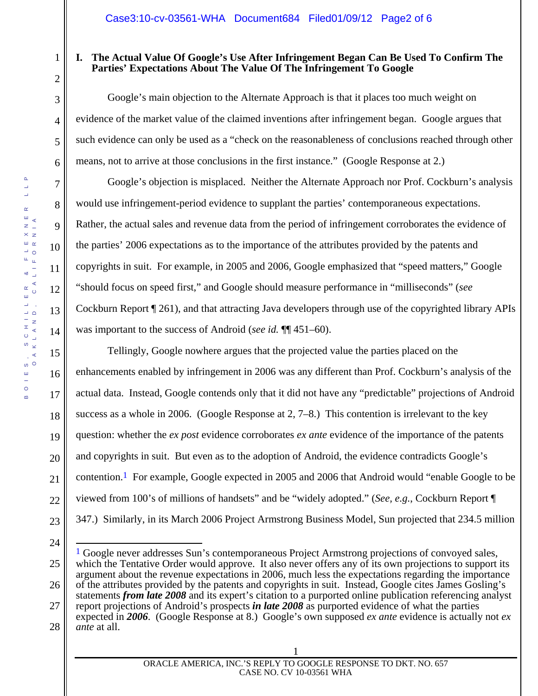# **I. The Actual Value Of Google's Use After Infringement Began Can Be Used To Confirm The Parties' Expectations About The Value Of The Infringement To Google**

Google's main objection to the Alternate Approach is that it places too much weight on evidence of the market value of the claimed inventions after infringement began. Google argues that such evidence can only be used as a "check on the reasonableness of conclusions reached through other means, not to arrive at those conclusions in the first instance." (Google Response at 2.)

Google's objection is misplaced. Neither the Alternate Approach nor Prof. Cockburn's analysis would use infringement-period evidence to supplant the parties' contemporaneous expectations. Rather, the actual sales and revenue data from the period of infringement corroborates the evidence of the parties' 2006 expectations as to the importance of the attributes provided by the patents and copyrights in suit. For example, in 2005 and 2006, Google emphasized that "speed matters," Google "should focus on speed first," and Google should measure performance in "milliseconds" (*see*  Cockburn Report ¶ 261), and that attracting Java developers through use of the copyrighted library APIs was important to the success of Android (*see id.* ¶¶ 451–60).

Tellingly, Google nowhere argues that the projected value the parties placed on the enhancements enabled by infringement in 2006 was any different than Prof. Cockburn's analysis of the actual data. Instead, Google contends only that it did not have any "predictable" projections of Android success as a whole in 2006. (Google Response at 2, 7–8.) This contention is irrelevant to the key question: whether the *ex post* evidence corroborates *ex ante* evidence of the importance of the patents and copyrights in suit. But even as to the adoption of Android, the evidence contradicts Google's contention.1 For example, Google expected in 2005 and 2006 that Android would "enable Google to be viewed from 100's of millions of handsets" and be "widely adopted." (*See, e.g.*, Cockburn Report ¶ 347.) Similarly, in its March 2006 Project Armstrong Business Model, Sun projected that 234.5 million

 $\overline{a}$ 

1

2

3

4

5

6

7

8

9

10

11

12

13

14

15

16

17

18

19

20

21

22

<sup>24</sup> 

<sup>25</sup>  26 27 <sup>1</sup> Google never addresses Sun's contemporaneous Project Armstrong projections of convoyed sales, which the Tentative Order would approve. It also never offers any of its own projections to support its argument about the revenue expectations in 2006, much less the expectations regarding the importance of the attributes provided by the patents and copyrights in suit. Instead, Google cites James Gosling's statements *from late 2008* and its expert's citation to a purported online publication referencing analyst report projections of Android's prospects *in late 2008* as purported evidence of what the parties

<sup>28</sup>  expected in *2006*. (Google Response at 8.) Google's own supposed *ex ante* evidence is actually not *ex ante* at all.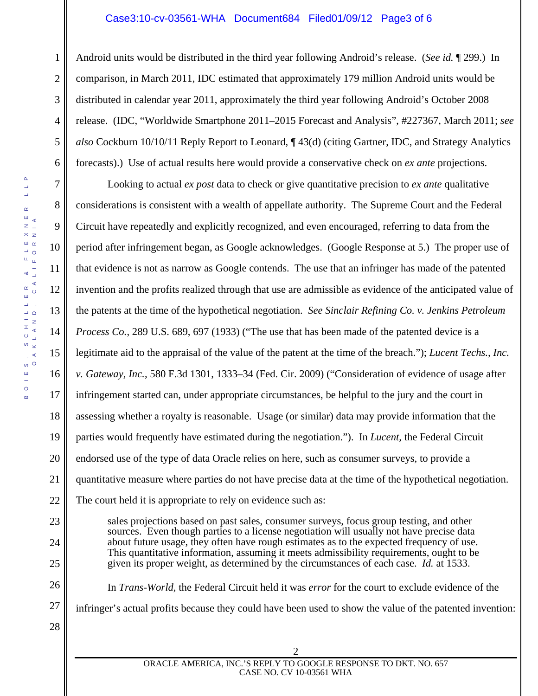### Case3:10-cv-03561-WHA Document684 Filed01/09/12 Page3 of 6

1 2 3 4 5 6 Android units would be distributed in the third year following Android's release. (*See id.* ¶ 299.) In comparison, in March 2011, IDC estimated that approximately 179 million Android units would be distributed in calendar year 2011, approximately the third year following Android's October 2008 release. (IDC, "Worldwide Smartphone 2011–2015 Forecast and Analysis", #227367, March 2011; *see also* Cockburn 10/10/11 Reply Report to Leonard, ¶ 43(d) (citing Gartner, IDC, and Strategy Analytics forecasts).) Use of actual results here would provide a conservative check on *ex ante* projections.

Looking to actual *ex post* data to check or give quantitative precision to *ex ante* qualitative considerations is consistent with a wealth of appellate authority. The Supreme Court and the Federal Circuit have repeatedly and explicitly recognized, and even encouraged, referring to data from the period after infringement began, as Google acknowledges. (Google Response at 5.) The proper use of that evidence is not as narrow as Google contends. The use that an infringer has made of the patented invention and the profits realized through that use are admissible as evidence of the anticipated value of the patents at the time of the hypothetical negotiation. *See Sinclair Refining Co. v. Jenkins Petroleum Process Co.*, 289 U.S. 689, 697 (1933) ("The use that has been made of the patented device is a legitimate aid to the appraisal of the value of the patent at the time of the breach."); *Lucent Techs., Inc. v. Gateway, Inc.*, 580 F.3d 1301, 1333–34 (Fed. Cir. 2009) ("Consideration of evidence of usage after infringement started can, under appropriate circumstances, be helpful to the jury and the court in assessing whether a royalty is reasonable. Usage (or similar) data may provide information that the parties would frequently have estimated during the negotiation."). In *Lucent,* the Federal Circuit endorsed use of the type of data Oracle relies on here, such as consumer surveys, to provide a quantitative measure where parties do not have precise data at the time of the hypothetical negotiation. The court held it is appropriate to rely on evidence such as:

sales projections based on past sales, consumer surveys, focus group testing, and other sources. Even though parties to a license negotiation will usually not have precise data about future usage, they often have rough estimates as to the expected frequency of use. This quantitative information, assuming it meets admissibility requirements, ought to be given its proper weight, as determined by the circumstances of each case. *Id.* at 1533.

In *Trans-World,* the Federal Circuit held it was *error* for the court to exclude evidence of the infringer's actual profits because they could have been used to show the value of the patented invention:

 $\Delta$ 

7

8

9

10

11

12

13

14

15

16

17

18

19

20

21

22

23

24

25

26

27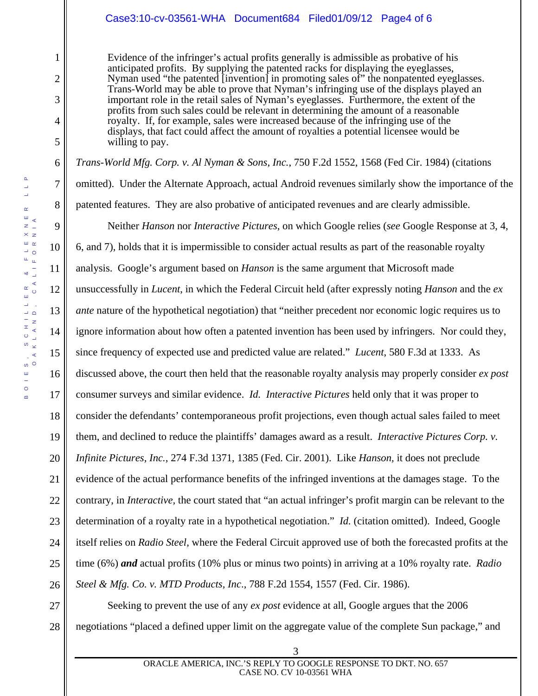### Case3:10-cv-03561-WHA Document684 Filed01/09/12 Page4 of 6

Evidence of the infringer's actual profits generally is admissible as probative of his anticipated profits. By supplying the patented racks for displaying the eyeglasses, Nyman used "the patented [invention] in promoting sales of" the nonpatented eyeglasses. Trans-World may be able to prove that Nyman's infringing use of the displays played an important role in the retail sales of Nyman's eyeglasses. Furthermore, the extent of the profits from such sales could be relevant in determining the amount of a reasonable royalty. If, for example, sales were increased because of the infringing use of the displays, that fact could affect the amount of royalties a potential licensee would be willing to pay.

*Trans-World Mfg. Corp. v. Al Nyman & Sons, Inc.*, 750 F.2d 1552, 1568 (Fed Cir. 1984) (citations omitted). Under the Alternate Approach, actual Android revenues similarly show the importance of the patented features. They are also probative of anticipated revenues and are clearly admissible.

22 Neither *Hanson* nor *Interactive Pictures*, on which Google relies (*see* Google Response at 3, 4, 6, and 7), holds that it is impermissible to consider actual results as part of the reasonable royalty analysis. Google's argument based on *Hanson* is the same argument that Microsoft made unsuccessfully in *Lucent*, in which the Federal Circuit held (after expressly noting *Hanson* and the *ex ante* nature of the hypothetical negotiation) that "neither precedent nor economic logic requires us to ignore information about how often a patented invention has been used by infringers. Nor could they, since frequency of expected use and predicted value are related." *Lucent*, 580 F.3d at 1333. As discussed above, the court then held that the reasonable royalty analysis may properly consider *ex post*  consumer surveys and similar evidence. *Id. Interactive Pictures* held only that it was proper to consider the defendants' contemporaneous profit projections, even though actual sales failed to meet them, and declined to reduce the plaintiffs' damages award as a result. *Interactive Pictures Corp. v. Infinite Pictures, Inc.,* 274 F.3d 1371, 1385 (Fed. Cir. 2001). Like *Hanson,* it does not preclude evidence of the actual performance benefits of the infringed inventions at the damages stage. To the contrary, in *Interactive,* the court stated that "an actual infringer's profit margin can be relevant to the determination of a royalty rate in a hypothetical negotiation." *Id.* (citation omitted). Indeed, Google itself relies on *Radio Steel*, where the Federal Circuit approved use of both the forecasted profits at the time (6%) *and* actual profits (10% plus or minus two points) in arriving at a 10% royalty rate. *Radio Steel & Mfg. Co. v. MTD Products, Inc*., 788 F.2d 1554, 1557 (Fed. Cir. 1986).

23 24 25 26

27 28 Seeking to prevent the use of any *ex post* evidence at all, Google argues that the 2006 negotiations "placed a defined upper limit on the aggregate value of the complete Sun package," and

1

2

3

4

5

6

7

8

9

10

11

12

13

14

15

16

17

18

19

20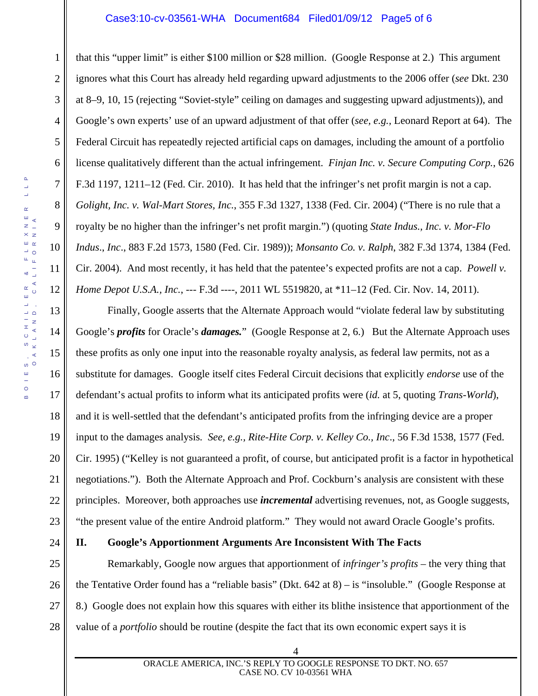#### Case3:10-cv-03561-WHA Document684 Filed01/09/12 Page5 of 6

1 2 3 4 5 6 7 8 9 10 12 that this "upper limit" is either \$100 million or \$28 million. (Google Response at 2.) This argument ignores what this Court has already held regarding upward adjustments to the 2006 offer (*see* Dkt. 230 at 8–9, 10, 15 (rejecting "Soviet-style" ceiling on damages and suggesting upward adjustments)), and Google's own experts' use of an upward adjustment of that offer (*see, e.g.,* Leonard Report at 64). The Federal Circuit has repeatedly rejected artificial caps on damages, including the amount of a portfolio license qualitatively different than the actual infringement. *Finjan Inc. v. Secure Computing Corp.*, 626 F.3d 1197, 1211–12 (Fed. Cir. 2010). It has held that the infringer's net profit margin is not a cap. *Golight, Inc. v. Wal-Mart Stores, Inc.*, 355 F.3d 1327, 1338 (Fed. Cir. 2004) ("There is no rule that a royalty be no higher than the infringer's net profit margin.") (quoting *State Indus., Inc. v. Mor-Flo Indus*., *Inc*., 883 F.2d 1573, 1580 (Fed. Cir. 1989)); *Monsanto Co. v. Ralph*, 382 F.3d 1374, 1384 (Fed. Cir. 2004). And most recently, it has held that the patentee's expected profits are not a cap. *Powell v. Home Depot U.S.A., Inc.*, --- F.3d ----, 2011 WL 5519820, at \*11–12 (Fed. Cir. Nov. 14, 2011).

Finally, Google asserts that the Alternate Approach would "violate federal law by substituting Google's *profits* for Oracle's *damages.*" (Google Response at 2, 6.) But the Alternate Approach uses these profits as only one input into the reasonable royalty analysis, as federal law permits, not as a substitute for damages. Google itself cites Federal Circuit decisions that explicitly *endorse* use of the defendant's actual profits to inform what its anticipated profits were (*id.* at 5, quoting *Trans*-*World*), and it is well-settled that the defendant's anticipated profits from the infringing device are a proper input to the damages analysis*. See, e.g., Rite-Hite Corp. v. Kelley Co., Inc*., 56 F.3d 1538, 1577 (Fed. Cir. 1995) ("Kelley is not guaranteed a profit, of course, but anticipated profit is a factor in hypothetical negotiations."). Both the Alternate Approach and Prof. Cockburn's analysis are consistent with these principles. Moreover, both approaches use *incremental* advertising revenues, not, as Google suggests, "the present value of the entire Android platform." They would not award Oracle Google's profits.

24

#### **II. Google's Apportionment Arguments Are Inconsistent With The Facts**

25 26 27 28 Remarkably, Google now argues that apportionment of *infringer's profits* – the very thing that the Tentative Order found has a "reliable basis" (Dkt. 642 at 8) – is "insoluble." (Google Response at 8.) Google does not explain how this squares with either its blithe insistence that apportionment of the value of a *portfolio* should be routine (despite the fact that its own economic expert says it is

11

13

14

15

16

17

18

19

20

21

22